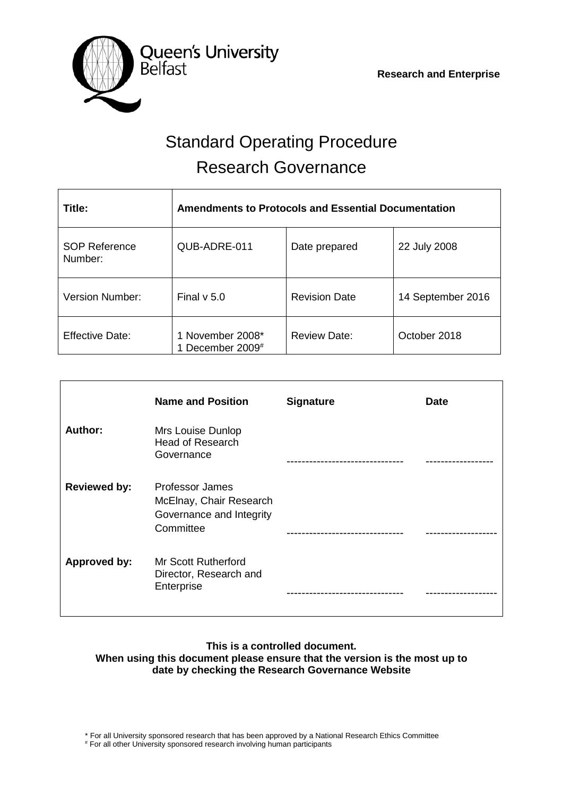

# Standard Operating Procedure Research Governance

| Title:                          | Amendments to Protocols and Essential Documentation |                      |                   |  |
|---------------------------------|-----------------------------------------------------|----------------------|-------------------|--|
| <b>SOP Reference</b><br>Number: | QUB-ADRE-011                                        | Date prepared        | 22 July 2008      |  |
| Version Number:                 | Final $v$ 5.0                                       | <b>Revision Date</b> | 14 September 2016 |  |
| <b>Effective Date:</b>          | 1 November 2008*<br>December 2009#                  | <b>Review Date:</b>  | October 2018      |  |

|                     | <b>Name and Position</b>                                                            | <b>Signature</b> | <b>Date</b> |
|---------------------|-------------------------------------------------------------------------------------|------------------|-------------|
| Author:             | Mrs Louise Dunlop<br><b>Head of Research</b><br>Governance                          |                  |             |
| <b>Reviewed by:</b> | Professor James<br>McElnay, Chair Research<br>Governance and Integrity<br>Committee |                  |             |
| Approved by:        | <b>Mr Scott Rutherford</b><br>Director, Research and<br>Enterprise                  |                  |             |

# **This is a controlled document. When using this document please ensure that the version is the most up to date by checking the Research Governance Website**

\* For all University sponsored research that has been approved by a National Research Ethics Committee # For all other University sponsored research involving human participants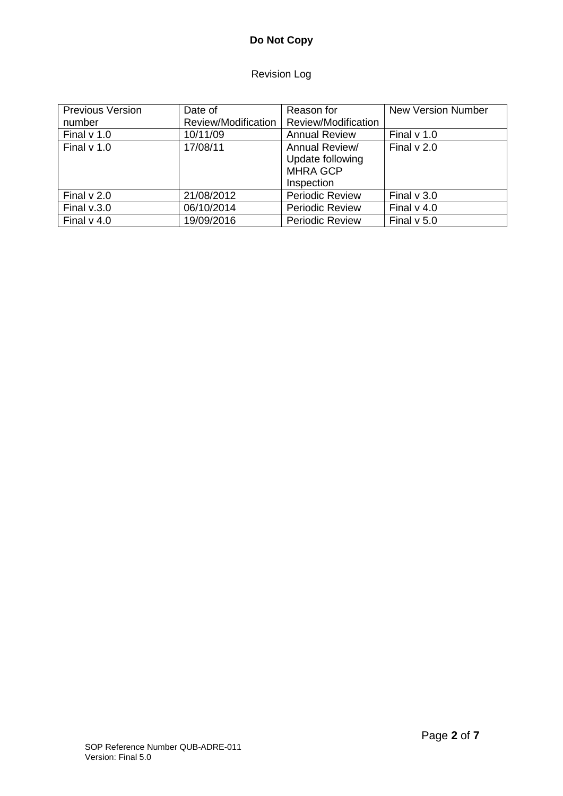# **Do Not Copy**

# Revision Log

| <b>Previous Version</b> | Date of             | Reason for                                                          | <b>New Version Number</b> |
|-------------------------|---------------------|---------------------------------------------------------------------|---------------------------|
| number                  | Review/Modification | Review/Modification                                                 |                           |
| Final $v$ 1.0           | 10/11/09            | <b>Annual Review</b>                                                | Final $v$ 1.0             |
| Final $v$ 1.0           | 17/08/11            | Annual Review/<br>Update following<br><b>MHRA GCP</b><br>Inspection | Final $v$ 2.0             |
| Final $v$ 2.0           | 21/08/2012          | <b>Periodic Review</b>                                              | Final $v$ 3.0             |
| Final $v.3.0$           | 06/10/2014          | <b>Periodic Review</b>                                              | Final $v$ 4.0             |
| Final $v$ 4.0           | 19/09/2016          | <b>Periodic Review</b>                                              | Final $v$ 5.0             |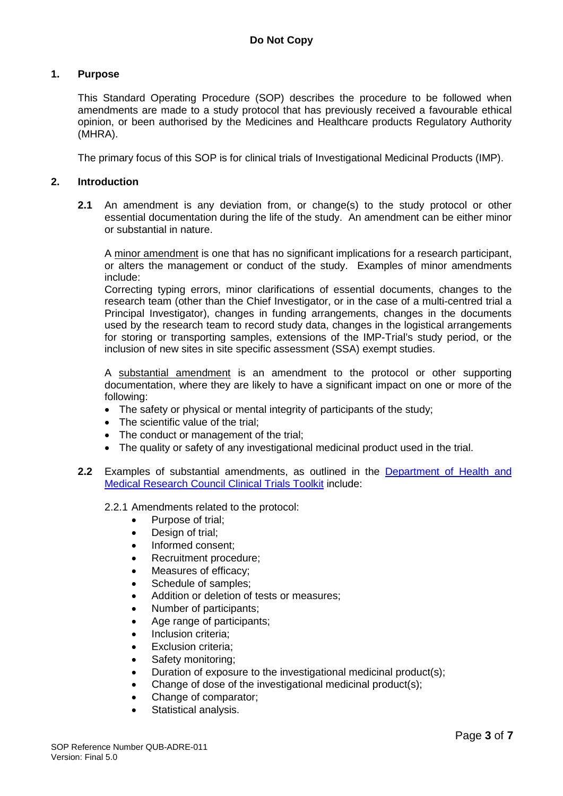# **1. Purpose**

This Standard Operating Procedure (SOP) describes the procedure to be followed when amendments are made to a study protocol that has previously received a favourable ethical opinion, or been authorised by the Medicines and Healthcare products Regulatory Authority (MHRA).

The primary focus of this SOP is for clinical trials of Investigational Medicinal Products (IMP).

# **2. Introduction**

**2.1** An amendment is any deviation from, or change(s) to the study protocol or other essential documentation during the life of the study. An amendment can be either minor or substantial in nature.

A minor amendment is one that has no significant implications for a research participant, or alters the management or conduct of the study. Examples of minor amendments include:

Correcting typing errors, minor clarifications of essential documents, changes to the research team (other than the Chief Investigator, or in the case of a multi-centred trial a Principal Investigator), changes in funding arrangements, changes in the documents used by the research team to record study data, changes in the logistical arrangements for storing or transporting samples, extensions of the IMP-Trial's study period, or the inclusion of new sites in site specific assessment (SSA) exempt studies.

A substantial amendment is an amendment to the protocol or other supporting documentation, where they are likely to have a significant impact on one or more of the following:

- The safety or physical or mental integrity of participants of the study;
- The scientific value of the trial:
- The conduct or management of the trial;
- The quality or safety of any investigational medicinal product used in the trial.
- **2.2** Examples of substantial amendments, as outlined in the [Department of Health and](http://www.ct-toolkit.ac.uk/)  [Medical Research Council Clinical Trials Toolkit](http://www.ct-toolkit.ac.uk/) include:

2.2.1 Amendments related to the protocol:

- Purpose of trial;
- Design of trial;
- Informed consent;
- Recruitment procedure:
- Measures of efficacy;
- Schedule of samples;
- Addition or deletion of tests or measures:
- Number of participants;
- Age range of participants;
- Inclusion criteria;
- **Exclusion criteria:**
- Safety monitoring;
- Duration of exposure to the investigational medicinal product(s);
- Change of dose of the investigational medicinal product(s);
- Change of comparator;
- Statistical analysis.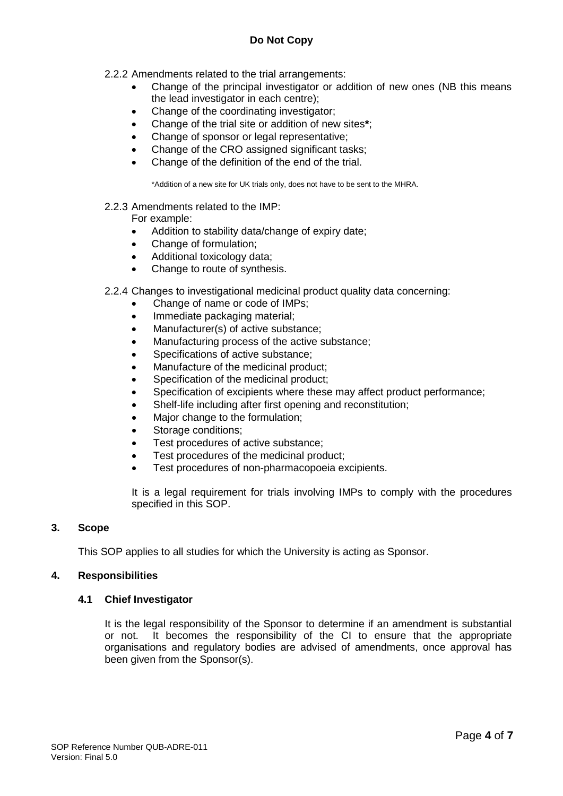# **Do Not Copy**

- 2.2.2 Amendments related to the trial arrangements:
	- Change of the principal investigator or addition of new ones (NB this means the lead investigator in each centre);
	- Change of the coordinating investigator:
	- Change of the trial site or addition of new sites**\***;
	- Change of sponsor or legal representative;
	- Change of the CRO assigned significant tasks;
	- Change of the definition of the end of the trial.

\*Addition of a new site for UK trials only, does not have to be sent to the MHRA.

#### 2.2.3 Amendments related to the IMP:

For example:

- Addition to stability data/change of expiry date;
- Change of formulation;
- Additional toxicology data;
- Change to route of synthesis.
- 2.2.4 Changes to investigational medicinal product quality data concerning:
	- Change of name or code of IMPs;
	- Immediate packaging material;
	- Manufacturer(s) of active substance;
	- Manufacturing process of the active substance;
	- Specifications of active substance;
	- Manufacture of the medicinal product;
	- Specification of the medicinal product:
	- Specification of excipients where these may affect product performance:
	- Shelf-life including after first opening and reconstitution;
	- Major change to the formulation;
	- Storage conditions:
	- Test procedures of active substance:
	- Test procedures of the medicinal product;
	- Test procedures of non-pharmacopoeia excipients.

It is a legal requirement for trials involving IMPs to comply with the procedures specified in this SOP.

#### **3. Scope**

This SOP applies to all studies for which the University is acting as Sponsor.

#### **4. Responsibilities**

#### **4.1 Chief Investigator**

It is the legal responsibility of the Sponsor to determine if an amendment is substantial or not. It becomes the responsibility of the CI to ensure that the appropriate organisations and regulatory bodies are advised of amendments, once approval has been given from the Sponsor(s).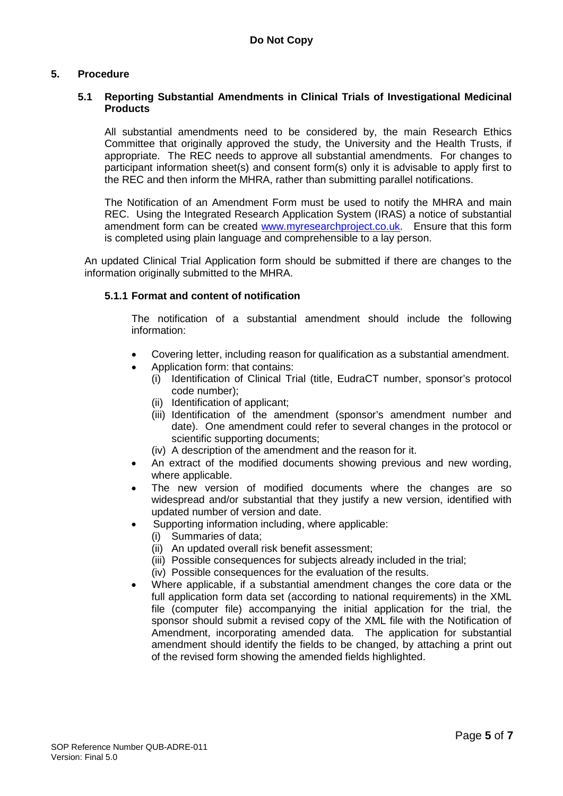# **5. Procedure**

### **5.1 Reporting Substantial Amendments in Clinical Trials of Investigational Medicinal Products**

All substantial amendments need to be considered by, the main Research Ethics Committee that originally approved the study, the University and the Health Trusts, if appropriate. The REC needs to approve all substantial amendments. For changes to participant information sheet(s) and consent form(s) only it is advisable to apply first to the REC and then inform the MHRA, rather than submitting parallel notifications.

The Notification of an Amendment Form must be used to notify the MHRA and main REC. Using the Integrated Research Application System (IRAS) a notice of substantial amendment form can be created [www.myresearchproject.co.uk.](http://www.myresearchproject.co.uk/) Ensure that this form is completed using plain language and comprehensible to a lay person.

An updated Clinical Trial Application form should be submitted if there are changes to the information originally submitted to the MHRA.

# **5.1.1 Format and content of notification**

The notification of a substantial amendment should include the following information:

- Covering letter, including reason for qualification as a substantial amendment.
- Application form: that contains:
	- (i) Identification of Clinical Trial (title, EudraCT number, sponsor's protocol code number);
	- (ii) Identification of applicant;
	- (iii) Identification of the amendment (sponsor's amendment number and date). One amendment could refer to several changes in the protocol or scientific supporting documents;
	- (iv) A description of the amendment and the reason for it.
- An extract of the modified documents showing previous and new wording, where applicable.
- The new version of modified documents where the changes are so widespread and/or substantial that they justify a new version, identified with updated number of version and date.
- Supporting information including, where applicable:
	- (i) Summaries of data;
	- (ii) An updated overall risk benefit assessment;
	- (iii) Possible consequences for subjects already included in the trial;
	- (iv) Possible consequences for the evaluation of the results.
- Where applicable, if a substantial amendment changes the core data or the full application form data set (according to national requirements) in the XML file (computer file) accompanying the initial application for the trial, the sponsor should submit a revised copy of the XML file with the Notification of Amendment, incorporating amended data. The application for substantial amendment should identify the fields to be changed, by attaching a print out of the revised form showing the amended fields highlighted.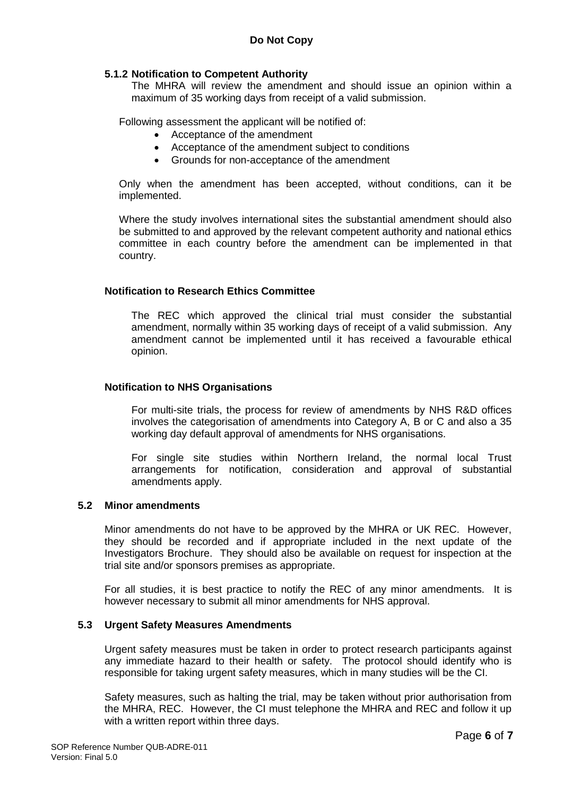# **5.1.2 Notification to Competent Authority**

The MHRA will review the amendment and should issue an opinion within a maximum of 35 working days from receipt of a valid submission.

Following assessment the applicant will be notified of:

- Acceptance of the amendment
- Acceptance of the amendment subject to conditions
- Grounds for non-acceptance of the amendment

Only when the amendment has been accepted, without conditions, can it be implemented.

Where the study involves international sites the substantial amendment should also be submitted to and approved by the relevant competent authority and national ethics committee in each country before the amendment can be implemented in that country.

# **Notification to Research Ethics Committee**

The REC which approved the clinical trial must consider the substantial amendment, normally within 35 working days of receipt of a valid submission. Any amendment cannot be implemented until it has received a favourable ethical opinion.

### **Notification to NHS Organisations**

For multi-site trials, the process for review of amendments by NHS R&D offices involves the categorisation of amendments into Category A, B or C and also a 35 working day default approval of amendments for NHS organisations.

For single site studies within Northern Ireland, the normal local Trust arrangements for notification, consideration and approval of substantial amendments apply.

# **5.2 Minor amendments**

Minor amendments do not have to be approved by the MHRA or UK REC. However, they should be recorded and if appropriate included in the next update of the Investigators Brochure. They should also be available on request for inspection at the trial site and/or sponsors premises as appropriate.

For all studies, it is best practice to notify the REC of any minor amendments. It is however necessary to submit all minor amendments for NHS approval.

#### **5.3 Urgent Safety Measures Amendments**

Urgent safety measures must be taken in order to protect research participants against any immediate hazard to their health or safety. The protocol should identify who is responsible for taking urgent safety measures, which in many studies will be the CI.

Safety measures, such as halting the trial, may be taken without prior authorisation from the MHRA, REC. However, the CI must telephone the MHRA and REC and follow it up with a written report within three days.